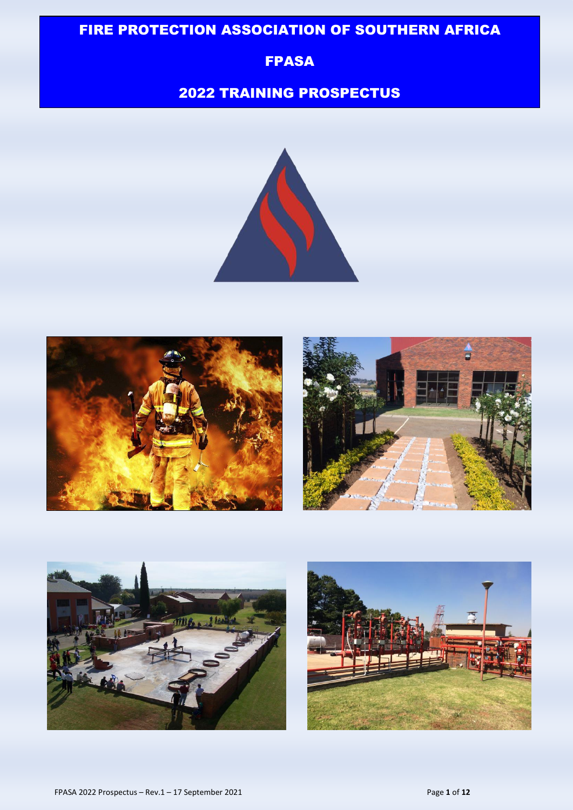# FIRE PROTECTION ASSOCIATION OF SOUTHERN AFRICA

## FPASA

### 55 2022 TRAINING PROSPECTUS







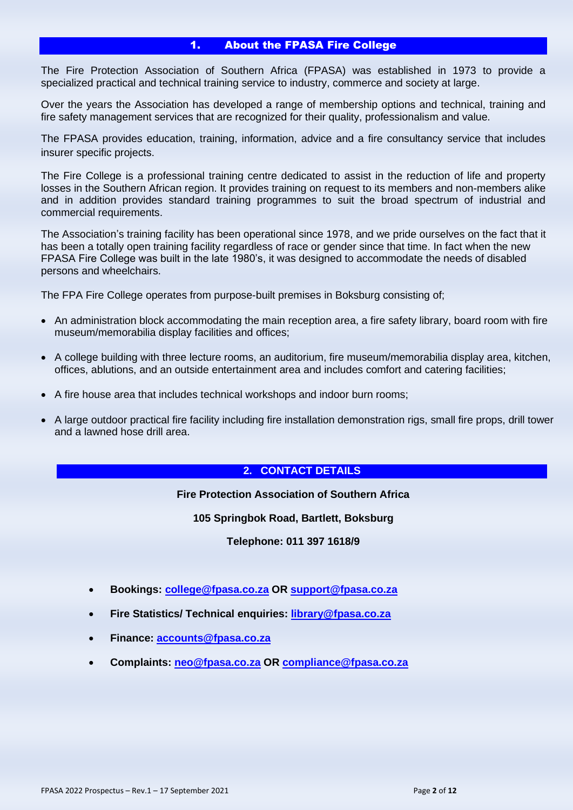### 1. About the FPASA Fire College

The Fire Protection Association of Southern Africa (FPASA) was established in 1973 to provide a specialized practical and technical training service to industry, commerce and society at large.

Over the years the Association has developed a range of membership options and technical, training and fire safety management services that are recognized for their quality, professionalism and value.

The FPASA provides education, training, information, advice and a fire consultancy service that includes insurer specific projects.

The Fire College is a professional training centre dedicated to assist in the reduction of life and property losses in the Southern African region. It provides training on request to its members and non-members alike and in addition provides standard training programmes to suit the broad spectrum of industrial and commercial requirements.

The Association's training facility has been operational since 1978, and we pride ourselves on the fact that it has been a totally open training facility regardless of race or gender since that time. In fact when the new FPASA Fire College was built in the late 1980's, it was designed to accommodate the needs of disabled persons and wheelchairs.

The FPA Fire College operates from purpose-built premises in Boksburg consisting of;

- An administration block accommodating the main reception area, a fire safety library, board room with fire museum/memorabilia display facilities and offices;
- A college building with three lecture rooms, an auditorium, fire museum/memorabilia display area, kitchen, offices, ablutions, and an outside entertainment area and includes comfort and catering facilities;
- A fire house area that includes technical workshops and indoor burn rooms;
- A large outdoor practical fire facility including fire installation demonstration rigs, small fire props, drill tower and a lawned hose drill area.

### **2. CONTACT DETAILS**

### **Fire Protection Association of Southern Africa**

**105 Springbok Road, Bartlett, Boksburg**

### **Telephone: 011 397 1618/9**

- **Bookings: [college@fpasa.co.za](mailto:college@fpasa.co.za) OR [support@fpasa.co.za](mailto:support@fpasa.co.za)**
- **Fire Statistics/ Technical enquiries: [library@fpasa.co.za](mailto:library@fpasa.co.za)**
- **Finance: [accounts@fpasa.co.za](mailto:accounts@fpasa.co.za)**
- **Complaints: [neo@fpasa.co.za](mailto:neo@fpasa.co.za) OR [compliance@fpasa.co.za](mailto:compliance@fpasa.co.za)**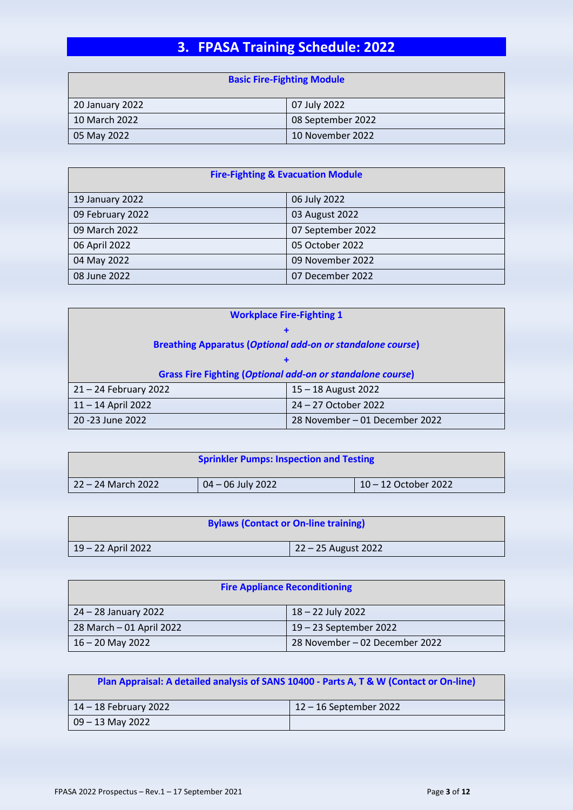# **3. FPASA Training Schedule: 2022**

| <b>Basic Fire-Fighting Module</b> |                   |  |
|-----------------------------------|-------------------|--|
| 20 January 2022                   | 07 July 2022      |  |
| 10 March 2022                     | 08 September 2022 |  |
| 05 May 2022                       | 10 November 2022  |  |

# **Fire-Fighting & Evacuation Module**

| 19 January 2022  | 06 July 2022      |
|------------------|-------------------|
| 09 February 2022 | 03 August 2022    |
| 09 March 2022    | 07 September 2022 |
| 06 April 2022    | 05 October 2022   |
| 04 May 2022      | 09 November 2022  |
| 08 June 2022     | 07 December 2022  |

| <b>Workplace Fire-Fighting 1</b>                                  |                                |  |
|-------------------------------------------------------------------|--------------------------------|--|
| ╋                                                                 |                                |  |
| <b>Breathing Apparatus (Optional add-on or standalone course)</b> |                                |  |
| ٠                                                                 |                                |  |
| <b>Grass Fire Fighting (Optional add-on or standalone course)</b> |                                |  |
| $21 - 24$ February 2022<br>$15 - 18$ August 2022                  |                                |  |
| 11-14 April 2022                                                  | 24 – 27 October 2022           |  |
| 20 - 23 June 2022                                                 | 28 November - 01 December 2022 |  |

| <b>Sprinkler Pumps: Inspection and Testing</b> |                   |                      |
|------------------------------------------------|-------------------|----------------------|
| l 22 – 24 March 2022                           | 04 – 06 July 2022 | 10 – 12 October 2022 |

| <b>Bylaws (Contact or On-line training)</b> |                     |  |
|---------------------------------------------|---------------------|--|
| $19 - 22$ April 2022                        | 22 – 25 August 2022 |  |

| <b>Fire Appliance Reconditioning</b> |                                |  |
|--------------------------------------|--------------------------------|--|
| 24 – 28 January 2022                 | 18 – 22 July 2022              |  |
| 28 March - 01 April 2022             | 19 – 23 September 2022         |  |
| $16 - 20$ May 2022                   | 28 November – 02 December 2022 |  |

| Plan Appraisal: A detailed analysis of SANS 10400 - Parts A, T & W (Contact or On-line) |                          |  |
|-----------------------------------------------------------------------------------------|--------------------------|--|
| 14 – 18 February 2022                                                                   | $12 - 16$ September 2022 |  |
| 09 – 13 May 2022                                                                        |                          |  |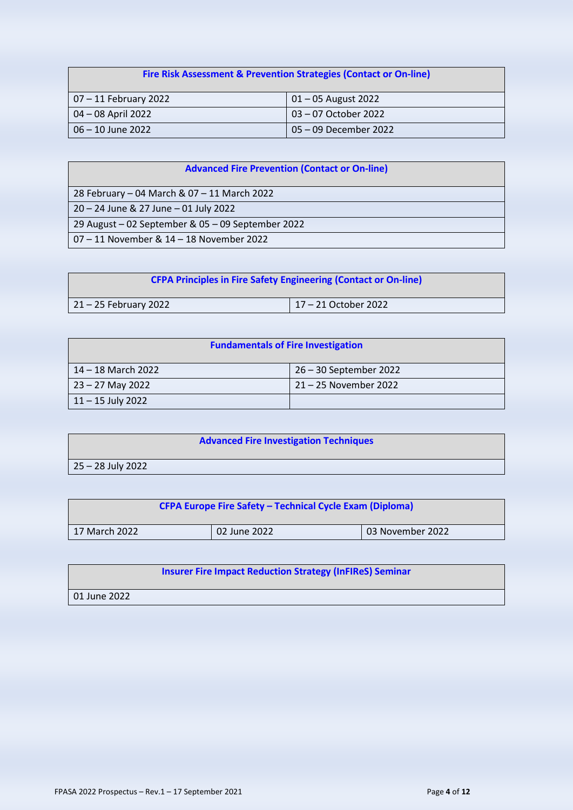| Fire Risk Assessment & Prevention Strategies (Contact or On-line) |                       |  |
|-------------------------------------------------------------------|-----------------------|--|
| 07 – 11 February 2022                                             | 01 – 05 August 2022   |  |
| $04 - 08$ April 2022                                              | 03 – 07 October 2022  |  |
| $06 - 10$ June 2022                                               | 05 – 09 December 2022 |  |

## **Advanced Fire Prevention (Contact or On-line)**

| 28 February - 04 March & 07 - 11 March 2022       |
|---------------------------------------------------|
| 20 - 24 June & 27 June - 01 July 2022             |
| 29 August - 02 September & 05 - 09 September 2022 |
| 07-11 November & 14-18 November 2022              |

| <b>CFPA Principles in Fire Safety Engineering (Contact or On-line)</b> |                      |  |
|------------------------------------------------------------------------|----------------------|--|
| 21 – 25 February 2022                                                  | 17 – 21 October 2022 |  |

| <b>Fundamentals of Fire Investigation</b> |                        |  |
|-------------------------------------------|------------------------|--|
| 14 – 18 March 2022                        | 26 - 30 September 2022 |  |
| $23 - 27$ May 2022                        | 21-25 November 2022    |  |
| $11 - 15$ July 2022                       |                        |  |

|                   | <b>Advanced Fire Investigation Techniques</b> |  |
|-------------------|-----------------------------------------------|--|
| 25 – 28 July 2022 |                                               |  |

| <b>CFPA Europe Fire Safety - Technical Cycle Exam (Diploma)</b> |              |                  |  |
|-----------------------------------------------------------------|--------------|------------------|--|
| 17 March 2022                                                   | 02 June 2022 | 03 November 2022 |  |

|              | <b>Insurer Fire Impact Reduction Strategy (InFIReS) Seminar</b> |
|--------------|-----------------------------------------------------------------|
| 01 June 2022 |                                                                 |
|              |                                                                 |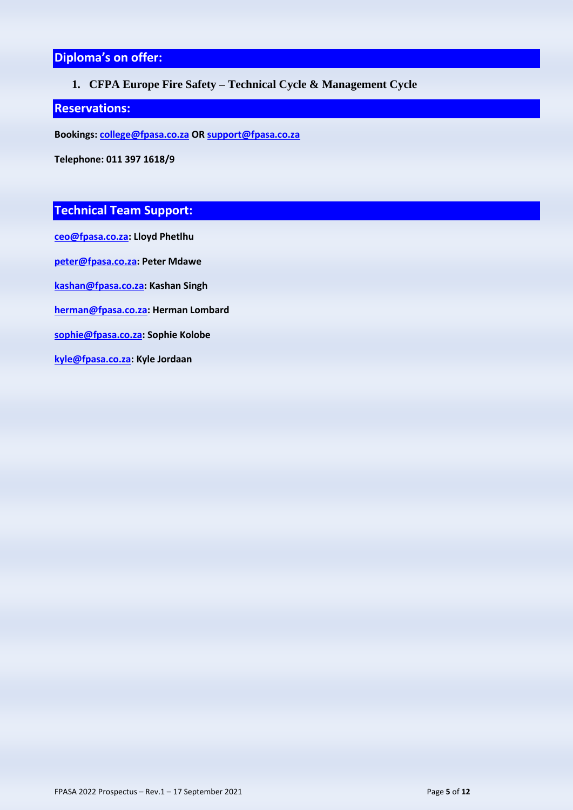### **Diploma's on offer:**

## **1. CFPA Europe Fire Safety – Technical Cycle & Management Cycle**

### **Reservations:**

**Bookings: [college@fpasa.co.za](mailto:college@fpasa.co.za) OR [support@fpasa.co.za](mailto:support@fpasa.co.za)**

**Telephone: 011 397 1618/9** 

# **Technical Team Support:**

**[ceo@fpasa.co.za:](mailto:ceo@fpasa.co.za) Lloyd Phetlhu [peter@fpasa.co.za:](mailto:peter@fpasa.co.za) Peter Mdawe [kashan@fpasa.co.za:](mailto:kashan@fpasa.co.za) Kashan Singh [herman@fpasa.co.za:](mailto:herman@fpasa.co.za) Herman Lombard [sophie@fpasa.co.za:](mailto:sophie@fpasa.co.za) Sophie Kolobe [kyle@fpasa.co.za:](mailto:kyle@fpasa.co.za) Kyle Jordaan**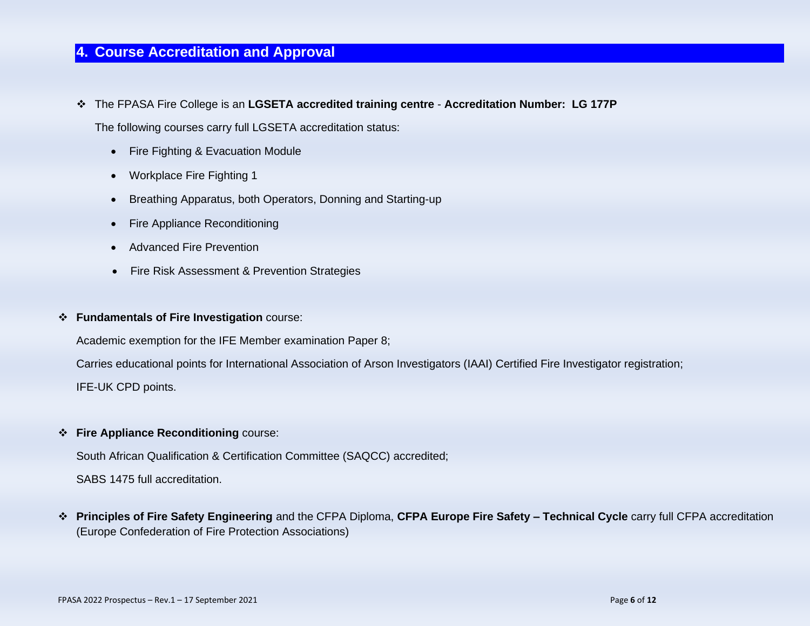### **4. Course Accreditation and Approval**

❖ The FPASA Fire College is an **LGSETA accredited training centre** - **Accreditation Number: LG 177P**

The following courses carry full LGSETA accreditation status:

- Fire Fighting & Evacuation Module
- Workplace Fire Fighting 1
- Breathing Apparatus, both Operators, Donning and Starting-up
- Fire Appliance Reconditioning
- Advanced Fire Prevention
- Fire Risk Assessment & Prevention Strategies

#### ❖ **Fundamentals of Fire Investigation** course:

Academic exemption for the IFE Member examination Paper 8;

Carries educational points for International Association of Arson Investigators (IAAI) Certified Fire Investigator registration;

IFE-UK CPD points.

#### ❖ **Fire Appliance Reconditioning** course:

South African Qualification & Certification Committee (SAQCC) accredited;

SABS 1475 full accreditation.

❖ **Principles of Fire Safety Engineering** and the CFPA Diploma, **CFPA Europe Fire Safety – Technical Cycle** carry full CFPA accreditation (Europe Confederation of Fire Protection Associations)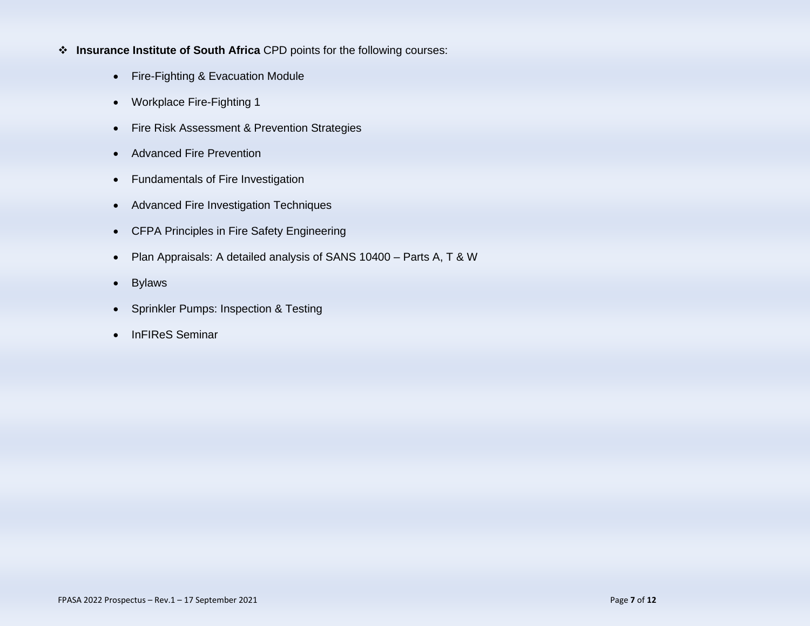- ❖ **Insurance Institute of South Africa** CPD points for the following courses:
	- Fire-Fighting & Evacuation Module
	- Workplace Fire-Fighting 1
	- Fire Risk Assessment & Prevention Strategies
	- Advanced Fire Prevention
	- Fundamentals of Fire Investigation
	- Advanced Fire Investigation Techniques
	- CFPA Principles in Fire Safety Engineering
	- Plan Appraisals: A detailed analysis of SANS 10400 Parts A, T & W
	- Bylaws
	- Sprinkler Pumps: Inspection & Testing
	- InFIReS Seminar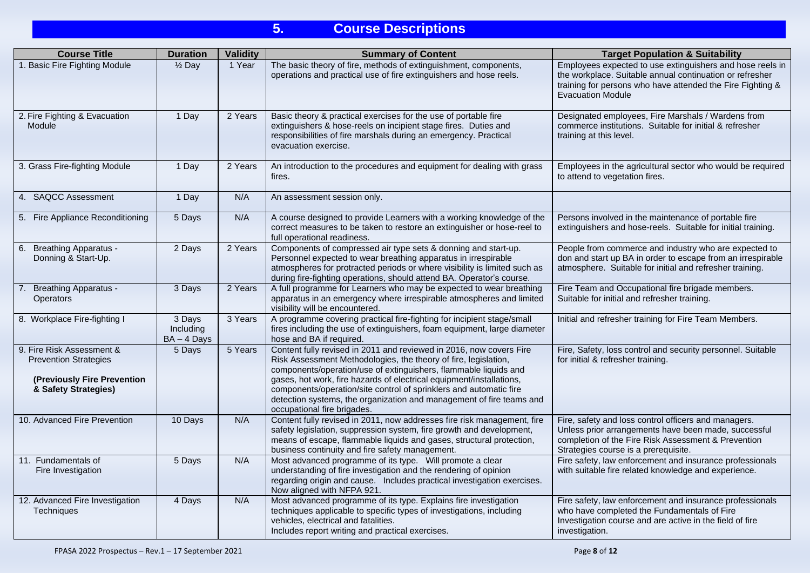# **5. Course Descriptions**

| <b>Course Title</b>                                                                                              | <b>Duration</b>                      | <b>Validity</b>      | <b>Summary of Content</b>                                                                                                                                                                                                                                                                                                                                                                                                                                       | <b>Target Population &amp; Suitability</b>                                                                                                                                                                      |  |
|------------------------------------------------------------------------------------------------------------------|--------------------------------------|----------------------|-----------------------------------------------------------------------------------------------------------------------------------------------------------------------------------------------------------------------------------------------------------------------------------------------------------------------------------------------------------------------------------------------------------------------------------------------------------------|-----------------------------------------------------------------------------------------------------------------------------------------------------------------------------------------------------------------|--|
| 1. Basic Fire Fighting Module                                                                                    | $\frac{1}{2}$ Day                    | 1 Year               | The basic theory of fire, methods of extinguishment, components,<br>operations and practical use of fire extinguishers and hose reels.                                                                                                                                                                                                                                                                                                                          | Employees expected to use extinguishers and hose reels in<br>the workplace. Suitable annual continuation or refresher<br>training for persons who have attended the Fire Fighting &<br><b>Evacuation Module</b> |  |
| 2. Fire Fighting & Evacuation<br>Module                                                                          | 1 Day                                | 2 Years              | Basic theory & practical exercises for the use of portable fire<br>extinguishers & hose-reels on incipient stage fires. Duties and<br>responsibilities of fire marshals during an emergency. Practical<br>evacuation exercise.                                                                                                                                                                                                                                  | Designated employees, Fire Marshals / Wardens from<br>commerce institutions. Suitable for initial & refresher<br>training at this level.                                                                        |  |
| 3. Grass Fire-fighting Module                                                                                    | 1 Day                                | $\overline{2}$ Years | An introduction to the procedures and equipment for dealing with grass<br>fires.                                                                                                                                                                                                                                                                                                                                                                                | Employees in the agricultural sector who would be required<br>to attend to vegetation fires.                                                                                                                    |  |
| 4. SAQCC Assessment                                                                                              | 1 Day                                | N/A                  | An assessment session only.                                                                                                                                                                                                                                                                                                                                                                                                                                     |                                                                                                                                                                                                                 |  |
| 5. Fire Appliance Reconditioning                                                                                 | 5 Days                               | N/A                  | A course designed to provide Learners with a working knowledge of the<br>correct measures to be taken to restore an extinguisher or hose-reel to<br>full operational readiness.                                                                                                                                                                                                                                                                                 | Persons involved in the maintenance of portable fire<br>extinguishers and hose-reels. Suitable for initial training.                                                                                            |  |
| 6.<br><b>Breathing Apparatus -</b><br>Donning & Start-Up.                                                        | 2 Days                               | 2 Years              | Components of compressed air type sets & donning and start-up.<br>Personnel expected to wear breathing apparatus in irrespirable<br>atmospheres for protracted periods or where visibility is limited such as<br>during fire-fighting operations, should attend BA. Operator's course.                                                                                                                                                                          | People from commerce and industry who are expected to<br>don and start up BA in order to escape from an irrespirable<br>atmosphere. Suitable for initial and refresher training.                                |  |
| 7. Breathing Apparatus -<br><b>Operators</b>                                                                     | 3 Days                               | 2 Years              | A full programme for Learners who may be expected to wear breathing<br>apparatus in an emergency where irrespirable atmospheres and limited<br>visibility will be encountered.                                                                                                                                                                                                                                                                                  | Fire Team and Occupational fire brigade members.<br>Suitable for initial and refresher training.                                                                                                                |  |
| 8. Workplace Fire-fighting I                                                                                     | 3 Days<br>Including<br>$BA - 4$ Days | 3 Years              | A programme covering practical fire-fighting for incipient stage/small<br>fires including the use of extinguishers, foam equipment, large diameter<br>hose and BA if required.                                                                                                                                                                                                                                                                                  | Initial and refresher training for Fire Team Members.                                                                                                                                                           |  |
| 9. Fire Risk Assessment &<br><b>Prevention Strategies</b><br>(Previously Fire Prevention<br>& Safety Strategies) | 5 Days                               | 5 Years              | Content fully revised in 2011 and reviewed in 2016, now covers Fire<br>Risk Assessment Methodologies, the theory of fire, legislation,<br>components/operation/use of extinguishers, flammable liquids and<br>gases, hot work, fire hazards of electrical equipment/installations,<br>components/operation/site control of sprinklers and automatic fire<br>detection systems, the organization and management of fire teams and<br>occupational fire brigades. | Fire, Safety, loss control and security personnel. Suitable<br>for initial & refresher training.                                                                                                                |  |
| 10. Advanced Fire Prevention                                                                                     | 10 Days                              | N/A                  | Content fully revised in 2011, now addresses fire risk management, fire<br>safety legislation, suppression system, fire growth and development,<br>means of escape, flammable liquids and gases, structural protection,<br>business continuity and fire safety management.                                                                                                                                                                                      | Fire, safety and loss control officers and managers.<br>Unless prior arrangements have been made, successful<br>completion of the Fire Risk Assessment & Prevention<br>Strategies course is a prerequisite.     |  |
| 11. Fundamentals of<br>Fire Investigation                                                                        | 5 Days                               | N/A                  | Most advanced programme of its type. Will promote a clear<br>understanding of fire investigation and the rendering of opinion<br>regarding origin and cause. Includes practical investigation exercises.<br>Now aligned with NFPA 921.                                                                                                                                                                                                                          | Fire safety, law enforcement and insurance professionals<br>with suitable fire related knowledge and experience.                                                                                                |  |
| 12. Advanced Fire Investigation<br>Techniques                                                                    | 4 Days                               | N/A                  | Most advanced programme of its type. Explains fire investigation<br>techniques applicable to specific types of investigations, including<br>vehicles, electrical and fatalities.<br>Includes report writing and practical exercises.                                                                                                                                                                                                                            | Fire safety, law enforcement and insurance professionals<br>who have completed the Fundamentals of Fire<br>Investigation course and are active in the field of fire<br>investigation.                           |  |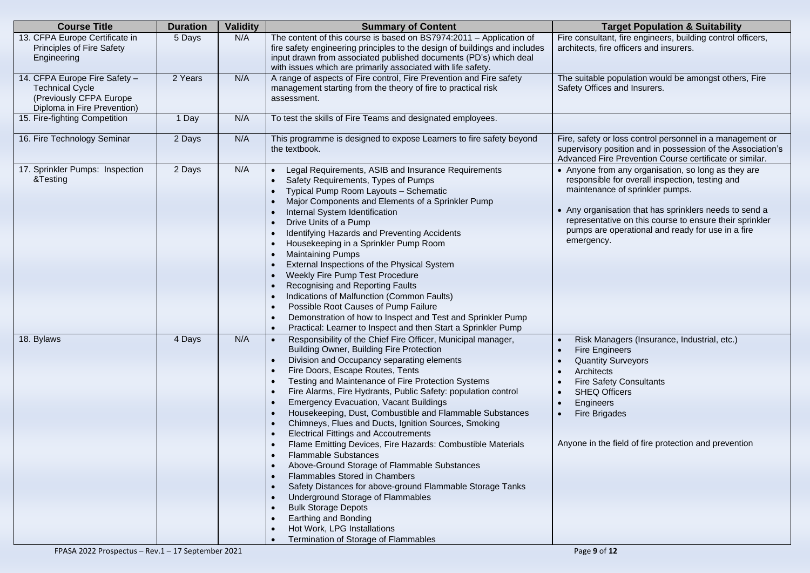| <b>Course Title</b>                                                                                               | <b>Duration</b> | <b>Validity</b> | <b>Summary of Content</b>                                                                                                                                                                                                                                                                                                                                                                                                                                                                                                                                                                                                                                                                                                                                                                                                                                                                                                                            | <b>Target Population &amp; Suitability</b>                                                                                                                                                                                                                                                                                                                  |  |  |
|-------------------------------------------------------------------------------------------------------------------|-----------------|-----------------|------------------------------------------------------------------------------------------------------------------------------------------------------------------------------------------------------------------------------------------------------------------------------------------------------------------------------------------------------------------------------------------------------------------------------------------------------------------------------------------------------------------------------------------------------------------------------------------------------------------------------------------------------------------------------------------------------------------------------------------------------------------------------------------------------------------------------------------------------------------------------------------------------------------------------------------------------|-------------------------------------------------------------------------------------------------------------------------------------------------------------------------------------------------------------------------------------------------------------------------------------------------------------------------------------------------------------|--|--|
| 13. CFPA Europe Certificate in<br>Principles of Fire Safety<br>Engineering                                        | 5 Days          | N/A             | The content of this course is based on BS7974:2011 - Application of<br>fire safety engineering principles to the design of buildings and includes<br>input drawn from associated published documents (PD's) which deal<br>with issues which are primarily associated with life safety.                                                                                                                                                                                                                                                                                                                                                                                                                                                                                                                                                                                                                                                               | Fire consultant, fire engineers, building control officers,<br>architects, fire officers and insurers.                                                                                                                                                                                                                                                      |  |  |
| 14. CFPA Europe Fire Safety -<br><b>Technical Cycle</b><br>(Previously CFPA Europe<br>Diploma in Fire Prevention) | 2 Years         | N/A             | A range of aspects of Fire control, Fire Prevention and Fire safety<br>management starting from the theory of fire to practical risk<br>assessment.                                                                                                                                                                                                                                                                                                                                                                                                                                                                                                                                                                                                                                                                                                                                                                                                  | The suitable population would be amongst others, Fire<br>Safety Offices and Insurers.                                                                                                                                                                                                                                                                       |  |  |
| 15. Fire-fighting Competition                                                                                     | 1 Day           | N/A             | To test the skills of Fire Teams and designated employees.                                                                                                                                                                                                                                                                                                                                                                                                                                                                                                                                                                                                                                                                                                                                                                                                                                                                                           |                                                                                                                                                                                                                                                                                                                                                             |  |  |
| 16. Fire Technology Seminar                                                                                       | 2 Days          | N/A             | This programme is designed to expose Learners to fire safety beyond<br>the textbook.                                                                                                                                                                                                                                                                                                                                                                                                                                                                                                                                                                                                                                                                                                                                                                                                                                                                 | Fire, safety or loss control personnel in a management or<br>supervisory position and in possession of the Association's<br>Advanced Fire Prevention Course certificate or similar.                                                                                                                                                                         |  |  |
| 17. Sprinkler Pumps: Inspection<br>&Testing                                                                       | 2 Days          | N/A             | Legal Requirements, ASIB and Insurance Requirements<br>Safety Requirements, Types of Pumps<br>Typical Pump Room Layouts - Schematic<br>Major Components and Elements of a Sprinkler Pump<br>Internal System Identification<br>Drive Units of a Pump<br>Identifying Hazards and Preventing Accidents<br>Housekeeping in a Sprinkler Pump Room<br><b>Maintaining Pumps</b><br>External Inspections of the Physical System<br>Weekly Fire Pump Test Procedure<br>Recognising and Reporting Faults<br>Indications of Malfunction (Common Faults)<br>Possible Root Causes of Pump Failure<br>Demonstration of how to Inspect and Test and Sprinkler Pump<br>Practical: Learner to Inspect and then Start a Sprinkler Pump                                                                                                                                                                                                                                 | • Anyone from any organisation, so long as they are<br>responsible for overall inspection, testing and<br>maintenance of sprinkler pumps.<br>• Any organisation that has sprinklers needs to send a<br>representative on this course to ensure their sprinkler<br>pumps are operational and ready for use in a fire<br>emergency.                           |  |  |
| 18. Bylaws                                                                                                        | 4 Days          | N/A             | Responsibility of the Chief Fire Officer, Municipal manager,<br>Building Owner, Building Fire Protection<br>Division and Occupancy separating elements<br>Fire Doors, Escape Routes, Tents<br>Testing and Maintenance of Fire Protection Systems<br>Fire Alarms, Fire Hydrants, Public Safety: population control<br><b>Emergency Evacuation, Vacant Buildings</b><br>Housekeeping, Dust, Combustible and Flammable Substances<br>Chimneys, Flues and Ducts, Ignition Sources, Smoking<br><b>Electrical Fittings and Accoutrements</b><br>Flame Emitting Devices, Fire Hazards: Combustible Materials<br><b>Flammable Substances</b><br>Above-Ground Storage of Flammable Substances<br>Flammables Stored in Chambers<br>Safety Distances for above-ground Flammable Storage Tanks<br>Underground Storage of Flammables<br><b>Bulk Storage Depots</b><br>Earthing and Bonding<br>Hot Work, LPG Installations<br>Termination of Storage of Flammables | Risk Managers (Insurance, Industrial, etc.)<br>$\bullet$<br><b>Fire Engineers</b><br>$\bullet$<br><b>Quantity Surveyors</b><br>$\bullet$<br>Architects<br>$\bullet$<br><b>Fire Safety Consultants</b><br><b>SHEQ Officers</b><br>$\bullet$<br>Engineers<br>$\bullet$<br>Fire Brigades<br>$\bullet$<br>Anyone in the field of fire protection and prevention |  |  |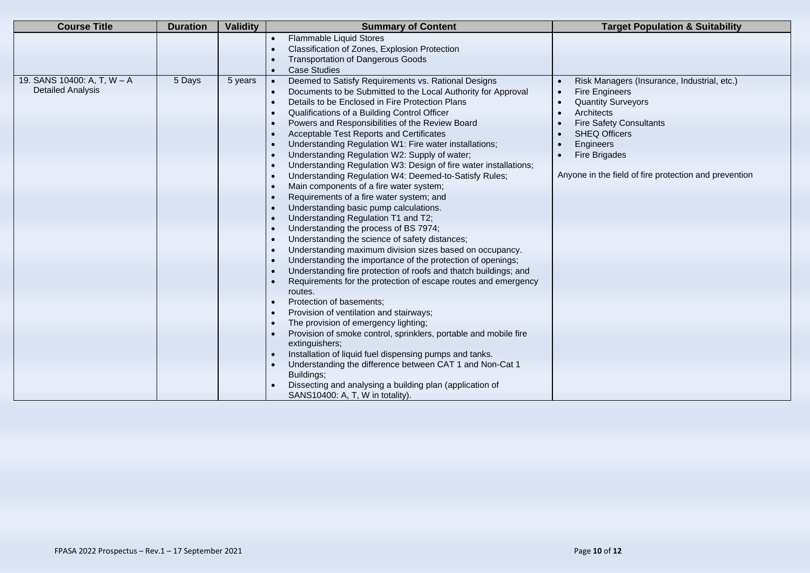| <b>Course Title</b>         | <b>Duration</b> | <b>Validity</b> | <b>Summary of Content</b>                                        | <b>Target Population &amp; Suitability</b>            |
|-----------------------------|-----------------|-----------------|------------------------------------------------------------------|-------------------------------------------------------|
|                             |                 |                 | Flammable Liquid Stores                                          |                                                       |
|                             |                 |                 | Classification of Zones, Explosion Protection                    |                                                       |
|                             |                 |                 | <b>Transportation of Dangerous Goods</b>                         |                                                       |
|                             |                 |                 | <b>Case Studies</b>                                              |                                                       |
| 19. SANS 10400: A, T, W - A | 5 Days          | 5 years         | Deemed to Satisfy Requirements vs. Rational Designs<br>$\bullet$ | Risk Managers (Insurance, Industrial, etc.)           |
| <b>Detailed Analysis</b>    |                 |                 | Documents to be Submitted to the Local Authority for Approval    | <b>Fire Engineers</b><br>$\bullet$                    |
|                             |                 |                 | Details to be Enclosed in Fire Protection Plans                  | <b>Quantity Surveyors</b>                             |
|                             |                 |                 | Qualifications of a Building Control Officer                     | Architects<br>$\bullet$                               |
|                             |                 |                 | Powers and Responsibilities of the Review Board                  | <b>Fire Safety Consultants</b>                        |
|                             |                 |                 | Acceptable Test Reports and Certificates                         | <b>SHEQ Officers</b>                                  |
|                             |                 |                 | Understanding Regulation W1: Fire water installations;           | Engineers                                             |
|                             |                 |                 | Understanding Regulation W2: Supply of water;                    | <b>Fire Brigades</b>                                  |
|                             |                 |                 | Understanding Regulation W3: Design of fire water installations; |                                                       |
|                             |                 |                 | Understanding Regulation W4: Deemed-to-Satisfy Rules;            | Anyone in the field of fire protection and prevention |
|                             |                 |                 | Main components of a fire water system;                          |                                                       |
|                             |                 |                 | Requirements of a fire water system; and                         |                                                       |
|                             |                 |                 | Understanding basic pump calculations.                           |                                                       |
|                             |                 |                 | Understanding Regulation T1 and T2;                              |                                                       |
|                             |                 |                 | Understanding the process of BS 7974;                            |                                                       |
|                             |                 |                 | Understanding the science of safety distances;                   |                                                       |
|                             |                 |                 | Understanding maximum division sizes based on occupancy.         |                                                       |
|                             |                 |                 | Understanding the importance of the protection of openings;      |                                                       |
|                             |                 |                 | Understanding fire protection of roofs and thatch buildings; and |                                                       |
|                             |                 |                 | Requirements for the protection of escape routes and emergency   |                                                       |
|                             |                 |                 | routes.                                                          |                                                       |
|                             |                 |                 | Protection of basements:                                         |                                                       |
|                             |                 |                 | Provision of ventilation and stairways;                          |                                                       |
|                             |                 |                 | The provision of emergency lighting;                             |                                                       |
|                             |                 |                 | Provision of smoke control, sprinklers, portable and mobile fire |                                                       |
|                             |                 |                 | extinguishers;                                                   |                                                       |
|                             |                 |                 | Installation of liquid fuel dispensing pumps and tanks.          |                                                       |
|                             |                 |                 | Understanding the difference between CAT 1 and Non-Cat 1         |                                                       |
|                             |                 |                 | Buildings;                                                       |                                                       |
|                             |                 |                 | Dissecting and analysing a building plan (application of         |                                                       |
|                             |                 |                 | SANS10400: A, T, W in totality).                                 |                                                       |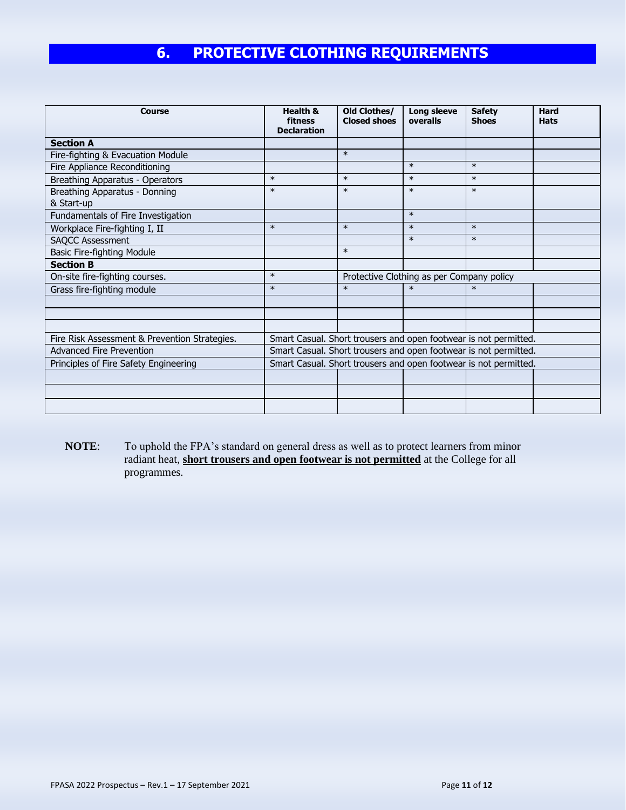# **6. PROTECTIVE CLOTHING REQUIREMENTS**

| Course                                        | <b>Health &amp;</b><br>fitness                                   | Old Clothes/<br><b>Closed shoes</b> | Long sleeve<br>overalls                   | <b>Safety</b><br><b>Shoes</b> | <b>Hard</b><br><b>Hats</b> |
|-----------------------------------------------|------------------------------------------------------------------|-------------------------------------|-------------------------------------------|-------------------------------|----------------------------|
|                                               | <b>Declaration</b>                                               |                                     |                                           |                               |                            |
| <b>Section A</b>                              |                                                                  |                                     |                                           |                               |                            |
| Fire-fighting & Evacuation Module             |                                                                  | $\ast$                              |                                           |                               |                            |
| Fire Appliance Reconditioning                 |                                                                  |                                     | $\ast$                                    | $\ast$                        |                            |
| <b>Breathing Apparatus - Operators</b>        | $\ast$                                                           | $\ast$                              | $\ast$                                    | $\ast$                        |                            |
| Breathing Apparatus - Donning                 | $\ast$                                                           | $\ast$                              | $\ast$                                    | $\ast$                        |                            |
| & Start-up                                    |                                                                  |                                     |                                           |                               |                            |
| Fundamentals of Fire Investigation            |                                                                  |                                     | $\ast$                                    |                               |                            |
| Workplace Fire-fighting I, II                 | $\ast$                                                           | $\ast$                              | $\ast$                                    | $\ast$                        |                            |
| <b>SAQCC Assessment</b>                       |                                                                  |                                     | $\ast$                                    | $\ast$                        |                            |
| Basic Fire-fighting Module                    |                                                                  | $\ast$                              |                                           |                               |                            |
| <b>Section B</b>                              |                                                                  |                                     |                                           |                               |                            |
| On-site fire-fighting courses.                | $\ast$                                                           |                                     | Protective Clothing as per Company policy |                               |                            |
| Grass fire-fighting module                    | $\ast$                                                           | $\ast$                              | $\ast$                                    | $\ast$                        |                            |
|                                               |                                                                  |                                     |                                           |                               |                            |
|                                               |                                                                  |                                     |                                           |                               |                            |
|                                               |                                                                  |                                     |                                           |                               |                            |
| Fire Risk Assessment & Prevention Strategies. | Smart Casual. Short trousers and open footwear is not permitted. |                                     |                                           |                               |                            |
| <b>Advanced Fire Prevention</b>               | Smart Casual. Short trousers and open footwear is not permitted. |                                     |                                           |                               |                            |
| Principles of Fire Safety Engineering         | Smart Casual. Short trousers and open footwear is not permitted. |                                     |                                           |                               |                            |
|                                               |                                                                  |                                     |                                           |                               |                            |
|                                               |                                                                  |                                     |                                           |                               |                            |
|                                               |                                                                  |                                     |                                           |                               |                            |

**NOTE**: To uphold the FPA's standard on general dress as well as to protect learners from minor radiant heat, **short trousers and open footwear is not permitted** at the College for all programmes.